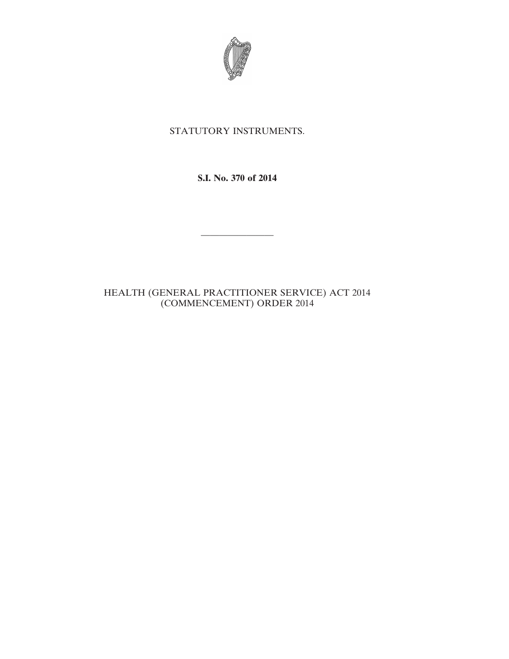

## STATUTORY INSTRUMENTS.

**S.I. No. 370 of 2014**

————————

## HEALTH (GENERAL PRACTITIONER SERVICE) ACT 2014 (COMMENCEMENT) ORDER 2014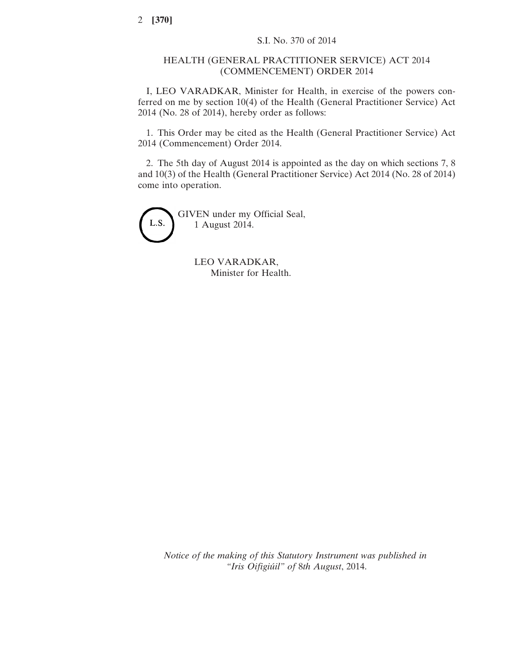## HEALTH (GENERAL PRACTITIONER SERVICE) ACT 2014 (COMMENCEMENT) ORDER 2014

I, LEO VARADKAR, Minister for Health, in exercise of the powers conferred on me by section 10(4) of the Health (General Practitioner Service) Act 2014 (No. 28 of 2014), hereby order as follows:

1. This Order may be cited as the Health (General Practitioner Service) Act 2014 (Commencement) Order 2014.

2. The 5th day of August 2014 is appointed as the day on which sections 7, 8 and 10(3) of the Health (General Practitioner Service) Act 2014 (No. 28 of 2014) come into operation.

L.S.

GIVEN under my Official Seal, 1 August 2014.

> LEO VARADKAR, Minister for Health.

*Notice of the making of this Statutory Instrument was published in "Iris Oifigiúil" of* 8*th August*, 2014.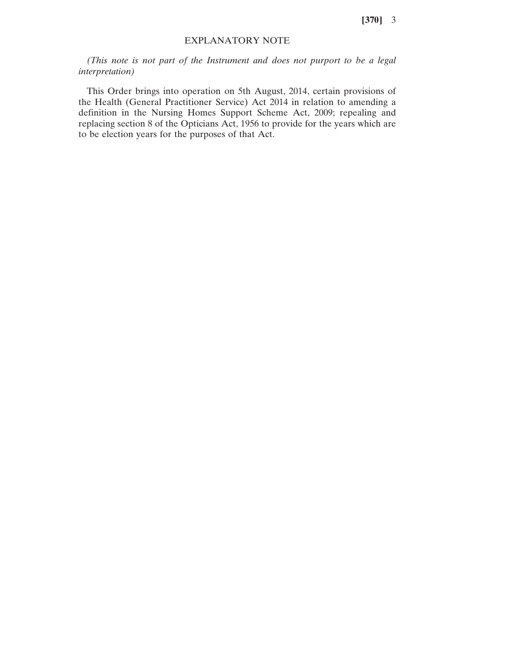**[370]** 3

## EXPLANATORY NOTE

*(This note is not part of the Instrument and does not purport to be a legal interpretation)*

This Order brings into operation on 5th August, 2014, certain provisions of the Health (General Practitioner Service) Act 2014 in relation to amending a definition in the Nursing Homes Support Scheme Act, 2009; repealing and replacing section 8 of the Opticians Act, 1956 to provide for the years which are to be election years for the purposes of that Act.